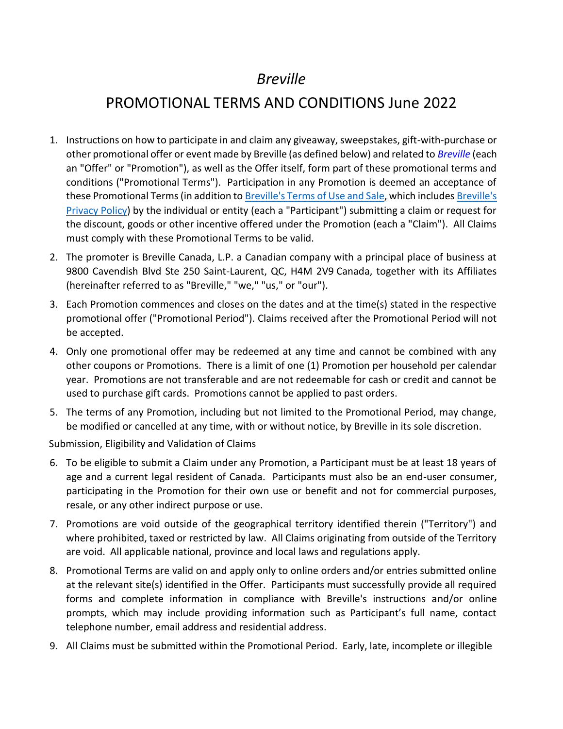## *Breville*

## PROMOTIONAL TERMS AND CONDITIONS June 2022

- 1. Instructions on how to participate in and claim any giveaway, sweepstakes, gift-with-purchase or other promotional offer or event made by Breville (as defined below) and related to *Breville* (each an "Offer" or "Promotion"), as well as the Offer itself, form part of these promotional terms and conditions ("Promotional Terms"). Participation in any Promotion is deemed an acceptance of these Promotional Terms (in addition t[o Breville's Terms](https://www.breville.com/ca/en/legal/terms-of-use.html) of Use and Sale, which include[s Breville's](https://www.breville.com/ca/en/legal/privacy-policy.html)  [Privacy Policy\)](https://www.breville.com/ca/en/legal/privacy-policy.html) by the individual or entity (each a "Participant") submitting a claim or request for the discount, goods or other incentive offered under the Promotion (each a "Claim"). All Claims must comply with these Promotional Terms to be valid.
- 2. The promoter is Breville Canada, L.P. a Canadian company with a principal place of business at 9800 Cavendish Blvd Ste 250 Saint-Laurent, QC, H4M 2V9 Canada, together with its Affiliates (hereinafter referred to as "Breville," "we," "us," or "our").
- 3. Each Promotion commences and closes on the dates and at the time(s) stated in the respective promotional offer ("Promotional Period"). Claims received after the Promotional Period will not be accepted.
- 4. Only one promotional offer may be redeemed at any time and cannot be combined with any other coupons or Promotions. There is a limit of one (1) Promotion per household per calendar year. Promotions are not transferable and are not redeemable for cash or credit and cannot be used to purchase gift cards. Promotions cannot be applied to past orders.
- 5. The terms of any Promotion, including but not limited to the Promotional Period, may change, be modified or cancelled at any time, with or without notice, by Breville in its sole discretion.

Submission, Eligibility and Validation of Claims

- 6. To be eligible to submit a Claim under any Promotion, a Participant must be at least 18 years of age and a current legal resident of Canada. Participants must also be an end-user consumer, participating in the Promotion for their own use or benefit and not for commercial purposes, resale, or any other indirect purpose or use.
- 7. Promotions are void outside of the geographical territory identified therein ("Territory") and where prohibited, taxed or restricted by law. All Claims originating from outside of the Territory are void. All applicable national, province and local laws and regulations apply.
- 8. Promotional Terms are valid on and apply only to online orders and/or entries submitted online at the relevant site(s) identified in the Offer. Participants must successfully provide all required forms and complete information in compliance with Breville's instructions and/or online prompts, which may include providing information such as Participant's full name, contact telephone number, email address and residential address.
- 9. All Claims must be submitted within the Promotional Period. Early, late, incomplete or illegible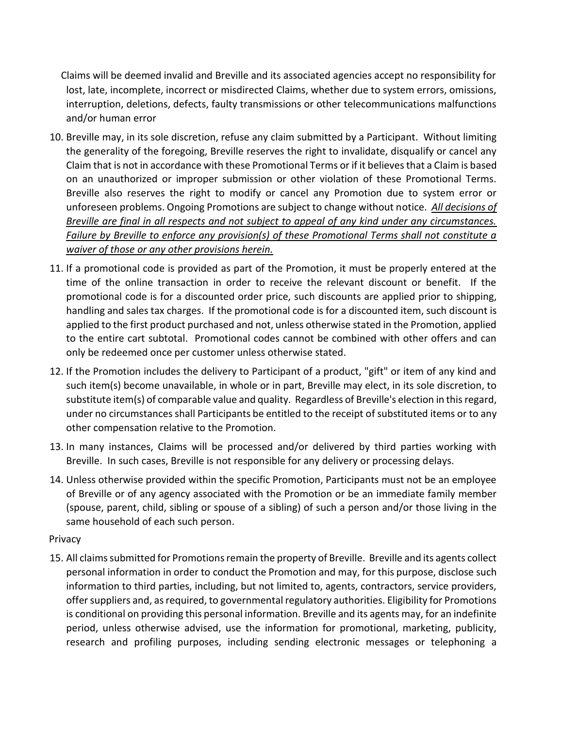Claims will be deemed invalid and Breville and its associated agencies accept no responsibility for lost, late, incomplete, incorrect or misdirected Claims, whether due to system errors, omissions, interruption, deletions, defects, faulty transmissions or other telecommunications malfunctions and/or human error

- 10. Breville may, in its sole discretion, refuse any claim submitted by a Participant. Without limiting the generality of the foregoing, Breville reserves the right to invalidate, disqualify or cancel any Claim that is not in accordance with these Promotional Terms or if it believes that a Claim is based on an unauthorized or improper submission or other violation of these Promotional Terms. Breville also reserves the right to modify or cancel any Promotion due to system error or unforeseen problems. Ongoing Promotions are subject to change without notice. *All decisions of Breville are final in all respects and not subject to appeal of any kind under any circumstances. Failure by Breville to enforce any provision(s) of these Promotional Terms shall not constitute a waiver of those or any other provisions herein.*
- 11. If a promotional code is provided as part of the Promotion, it must be properly entered at the time of the online transaction in order to receive the relevant discount or benefit. If the promotional code is for a discounted order price, such discounts are applied prior to shipping, handling and sales tax charges. If the promotional code is for a discounted item, such discount is applied to the first product purchased and not, unless otherwise stated in the Promotion, applied to the entire cart subtotal. Promotional codes cannot be combined with other offers and can only be redeemed once per customer unless otherwise stated.
- 12. If the Promotion includes the delivery to Participant of a product, "gift" or item of any kind and such item(s) become unavailable, in whole or in part, Breville may elect, in its sole discretion, to substitute item(s) of comparable value and quality. Regardless of Breville's election in this regard, under no circumstances shall Participants be entitled to the receipt of substituted items or to any other compensation relative to the Promotion.
- 13. In many instances, Claims will be processed and/or delivered by third parties working with Breville. In such cases, Breville is not responsible for any delivery or processing delays.
- 14. Unless otherwise provided within the specific Promotion, Participants must not be an employee of Breville or of any agency associated with the Promotion or be an immediate family member (spouse, parent, child, sibling or spouse of a sibling) of such a person and/or those living in the same household of each such person.

## **Privacy**

15. All claims submitted for Promotions remain the property of Breville. Breville and its agents collect personal information in order to conduct the Promotion and may, for this purpose, disclose such information to third parties, including, but not limited to, agents, contractors, service providers, offer suppliers and, as required, to governmental regulatory authorities. Eligibility for Promotions is conditional on providing this personal information. Breville and its agents may, for an indefinite period, unless otherwise advised, use the information for promotional, marketing, publicity, research and profiling purposes, including sending electronic messages or telephoning a